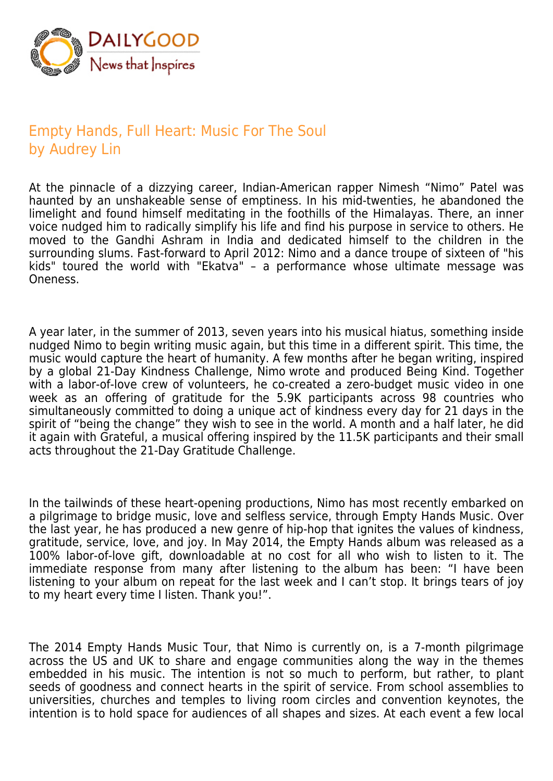

## Empty Hands, Full Heart: Music For The Soul by Audrey Lin

At the pinnacle of a dizzying career, Indian-American rapper Nimesh "Nimo" Patel was haunted by an unshakeable sense of emptiness. In his mid-twenties, he abandoned the limelight and found himself meditating in the foothills of the Himalayas. There, an inner voice nudged him to radically simplify his life and find his purpose in service to others. He moved to the Gandhi Ashram in India and dedicated himself to the children in the surrounding slums. Fast-forward to April 2012: Nimo and a dance troupe of sixteen of "his kids" toured the world with "Ekatva" – a performance whose ultimate message was Oneness.

A year later, in the summer of 2013, seven years into his musical hiatus, something inside nudged Nimo to begin writing music again, but this time in a different spirit. This time, the music would capture the heart of humanity. A few months after he began writing, inspired by a global 21-Day Kindness Challenge, Nimo wrote and produced Being Kind. Together with a labor-of-love crew of volunteers, he co-created a zero-budget music video in one week as an offering of gratitude for the 5.9K participants across 98 countries who simultaneously committed to doing a unique act of kindness every day for 21 days in the spirit of "being the change" they wish to see in the world. A month and a half later, he did it again with Grateful, a musical offering inspired by the 11.5K participants and their small acts throughout the 21-Day Gratitude Challenge.

In the tailwinds of these heart-opening productions, Nimo has most recently embarked on a pilgrimage to bridge music, love and selfless service, through Empty Hands Music. Over the last year, he has produced a new genre of hip-hop that ignites the values of kindness, gratitude, service, love, and joy. In May 2014, the Empty Hands album was released as a 100% labor-of-love gift, downloadable at no cost for all who wish to listen to it. The immediate response from many after listening to the album has been: "I have been listening to your album on repeat for the last week and I can't stop. It brings tears of joy to my heart every time I listen. Thank you!".

The 2014 Empty Hands Music Tour, that Nimo is currently on, is a 7-month pilgrimage across the US and UK to share and engage communities along the way in the themes embedded in his music. The intention is not so much to perform, but rather, to plant seeds of goodness and connect hearts in the spirit of service. From school assemblies to universities, churches and temples to living room circles and convention keynotes, the intention is to hold space for audiences of all shapes and sizes. At each event a few local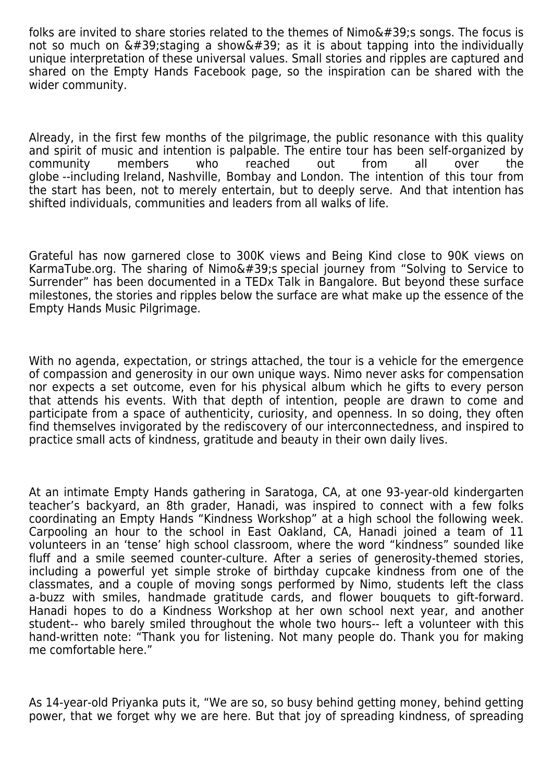folks are invited to share stories related to the themes of  $Nimo'$ ; songs. The focus is not so much on  $\&\#39$ ; staging a show $\&\#39$ ; as it is about tapping into the individually unique interpretation of these universal values. Small stories and ripples are captured and shared on the Empty Hands Facebook page, so the inspiration can be shared with the wider community.

Already, in the first few months of the pilgrimage, the public resonance with this quality and spirit of music and intention is palpable. The entire tour has been self-organized by community members who reached out from all over the globe --including Ireland, Nashville, Bombay and London. The intention of this tour from the start has been, not to merely entertain, but to deeply serve. And that intention has shifted individuals, communities and leaders from all walks of life.

Grateful has now garnered close to 300K views and Being Kind close to 90K views on KarmaTube.org. The sharing of Nimo's special journey from "Solving to Service to Surrender" has been documented in a TEDx Talk in Bangalore. But beyond these surface milestones, the stories and ripples below the surface are what make up the essence of the Empty Hands Music Pilgrimage.

With no agenda, expectation, or strings attached, the tour is a vehicle for the emergence of compassion and generosity in our own unique ways. Nimo never asks for compensation nor expects a set outcome, even for his physical album which he gifts to every person that attends his events. With that depth of intention, people are drawn to come and participate from a space of authenticity, curiosity, and openness. In so doing, they often find themselves invigorated by the rediscovery of our interconnectedness, and inspired to practice small acts of kindness, gratitude and beauty in their own daily lives.

At an intimate Empty Hands gathering in Saratoga, CA, at one 93-year-old kindergarten teacher's backyard, an 8th grader, Hanadi, was inspired to connect with a few folks coordinating an Empty Hands "Kindness Workshop" at a high school the following week. Carpooling an hour to the school in East Oakland, CA, Hanadi joined a team of 11 volunteers in an 'tense' high school classroom, where the word "kindness" sounded like fluff and a smile seemed counter-culture. After a series of generosity-themed stories, including a powerful yet simple stroke of birthday cupcake kindness from one of the classmates, and a couple of moving songs performed by Nimo, students left the class a-buzz with smiles, handmade gratitude cards, and flower bouquets to gift-forward. Hanadi hopes to do a Kindness Workshop at her own school next year, and another student-- who barely smiled throughout the whole two hours-- left a volunteer with this hand-written note: "Thank you for listening. Not many people do. Thank you for making me comfortable here."

As 14-year-old Priyanka puts it, "We are so, so busy behind getting money, behind getting power, that we forget why we are here. But that joy of spreading kindness, of spreading